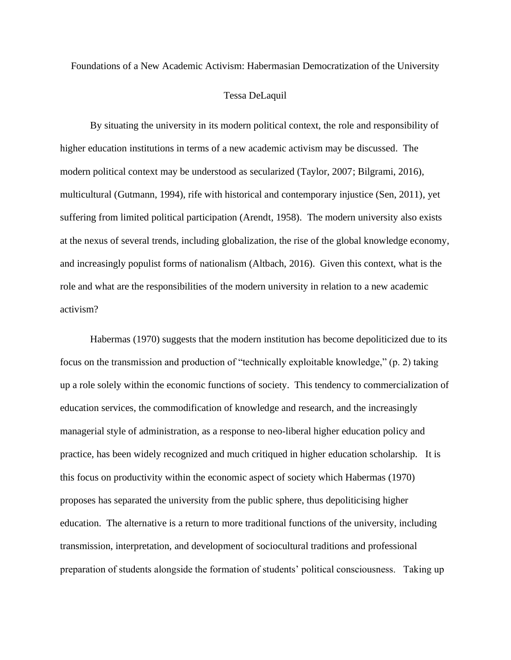Foundations of a New Academic Activism: Habermasian Democratization of the University

## Tessa DeLaquil

By situating the university in its modern political context, the role and responsibility of higher education institutions in terms of a new academic activism may be discussed. The modern political context may be understood as secularized (Taylor, 2007; Bilgrami, 2016), multicultural (Gutmann, 1994), rife with historical and contemporary injustice (Sen, 2011), yet suffering from limited political participation (Arendt, 1958). The modern university also exists at the nexus of several trends, including globalization, the rise of the global knowledge economy, and increasingly populist forms of nationalism (Altbach, 2016). Given this context, what is the role and what are the responsibilities of the modern university in relation to a new academic activism?

Habermas (1970) suggests that the modern institution has become depoliticized due to its focus on the transmission and production of "technically exploitable knowledge," (p. 2) taking up a role solely within the economic functions of society. This tendency to commercialization of education services, the commodification of knowledge and research, and the increasingly managerial style of administration, as a response to neo-liberal higher education policy and practice, has been widely recognized and much critiqued in higher education scholarship. It is this focus on productivity within the economic aspect of society which Habermas (1970) proposes has separated the university from the public sphere, thus depoliticising higher education. The alternative is a return to more traditional functions of the university, including transmission, interpretation, and development of sociocultural traditions and professional preparation of students alongside the formation of students' political consciousness. Taking up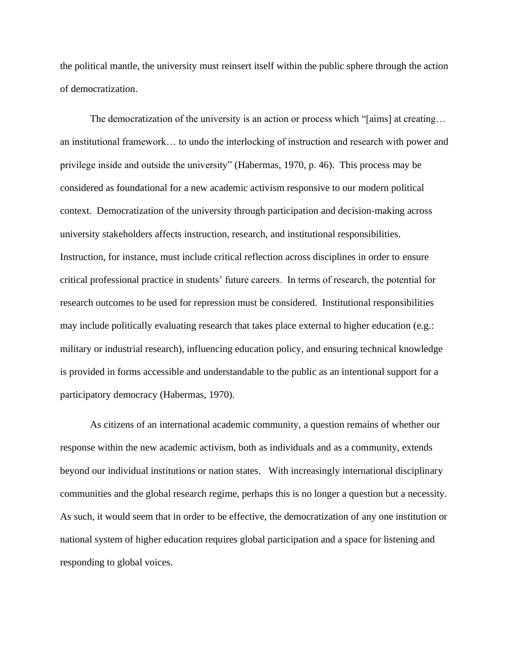the political mantle, the university must reinsert itself within the public sphere through the action of democratization.

The democratization of the university is an action or process which "[aims] at creating... an institutional framework… to undo the interlocking of instruction and research with power and privilege inside and outside the university" (Habermas, 1970, p. 46). This process may be considered as foundational for a new academic activism responsive to our modern political context. Democratization of the university through participation and decision-making across university stakeholders affects instruction, research, and institutional responsibilities. Instruction, for instance, must include critical reflection across disciplines in order to ensure critical professional practice in students' future careers. In terms of research, the potential for research outcomes to be used for repression must be considered. Institutional responsibilities may include politically evaluating research that takes place external to higher education (e.g.: military or industrial research), influencing education policy, and ensuring technical knowledge is provided in forms accessible and understandable to the public as an intentional support for a participatory democracy (Habermas, 1970).

As citizens of an international academic community, a question remains of whether our response within the new academic activism, both as individuals and as a community, extends beyond our individual institutions or nation states. With increasingly international disciplinary communities and the global research regime, perhaps this is no longer a question but a necessity. As such, it would seem that in order to be effective, the democratization of any one institution or national system of higher education requires global participation and a space for listening and responding to global voices.